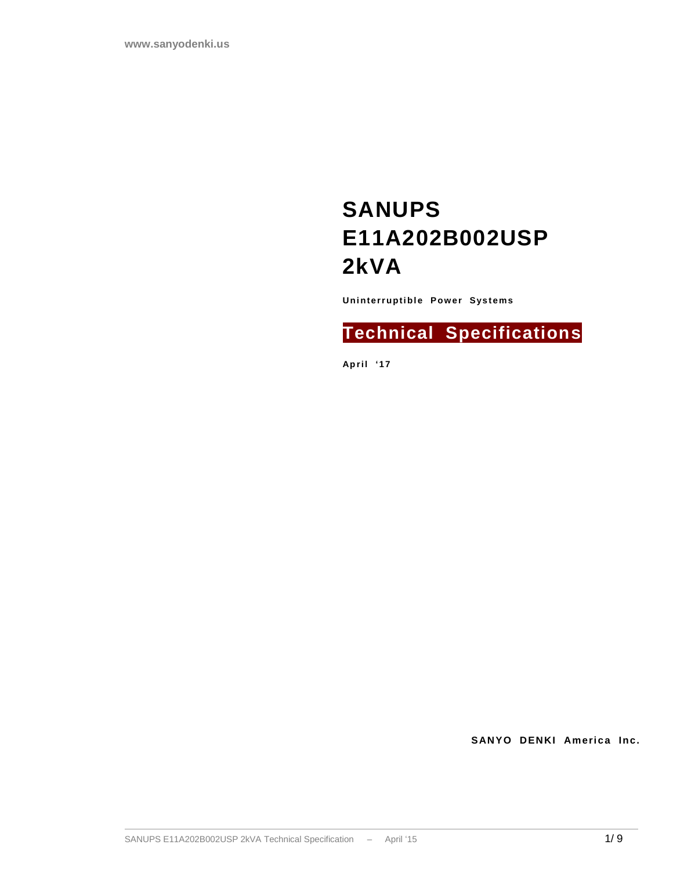# **SANUPS E11A202B002USP 2kVA**

**Uninterruptible Power Systems** 

## **Technical Specifications**

**Apri l ' 17**

**SANYO DENKI America Inc.**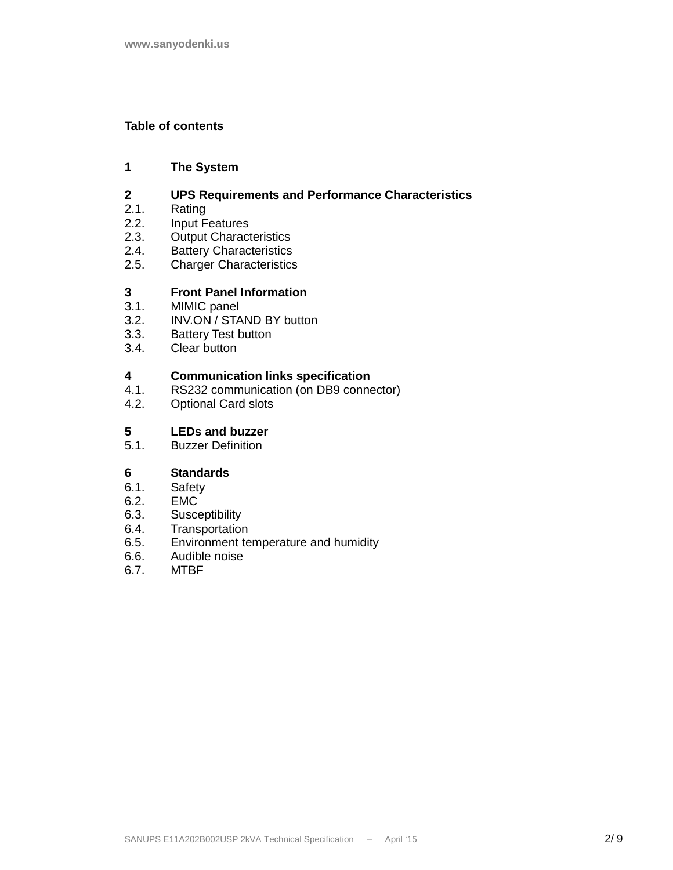#### **Table of contents**

#### **1 The System**

## **2 UPS Requirements and Performance Characteristics**

- 2.1. Rating
- 2.2. Input Features<br>2.3. Output Charact
- **Output Characteristics**
- 2.4. Battery Characteristics
- 2.5. Charger Characteristics

## **3 Front Panel Information**

- 3.1. MIMIC panel<br>3.2. INV.ON / STA
- INV.ON / STAND BY button
- 3.3. Battery Test button<br>3.4. Clear button
- Clear button

# **4 Communication links specification**

- RS232 communication (on DB9 connector)
- 4.2. Optional Card slots

# **5 LEDs and buzzer**

**Buzzer Definition** 

## **6 Standards**

- 
- 6.1. Safety<br>6.2. EMC EMC
- 6.3. Susceptibility
- 6.4. Transportation
- 6.5. Environment temperature and humidity<br>6.6. Audible noise
- 6.6. Audible noise
- 6.7. MTBF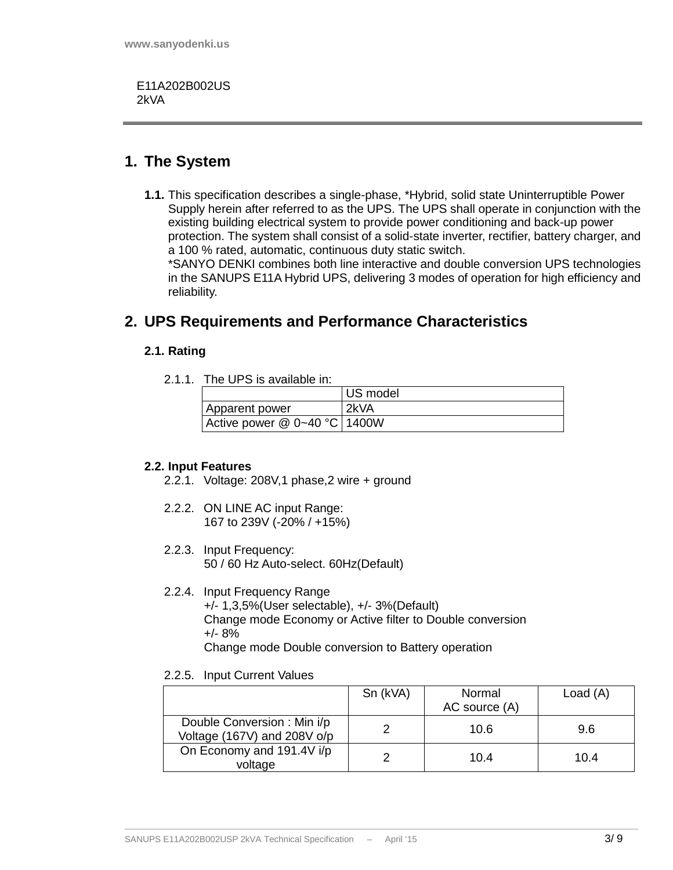E11A202B002US 2kVA

### **1. The System**

**1.1.** This specification describes a single-phase, \*Hybrid, solid state Uninterruptible Power Supply herein after referred to as the UPS. The UPS shall operate in conjunction with the existing building electrical system to provide power conditioning and back-up power protection. The system shall consist of a solid-state inverter, rectifier, battery charger, and a 100 % rated, automatic, continuous duty static switch.

\*SANYO DENKI combines both line interactive and double conversion UPS technologies in the SANUPS E11A Hybrid UPS, delivering 3 modes of operation for high efficiency and reliability.

## **2. UPS Requirements and Performance Characteristics**

#### **2.1. Rating**

2.1.1. The UPS is available in:

|                                     | US model |
|-------------------------------------|----------|
| Apparent power                      | 2kVA     |
| Active power $@ 0 \sim 40 °C$ 1400W |          |

#### **2.2. Input Features**

- 2.2.1. Voltage: 208V,1 phase,2 wire + ground
- 2.2.2. ON LINE AC input Range: 167 to 239V (-20% / +15%)
- 2.2.3. Input Frequency: 50 / 60 Hz Auto-select. 60Hz(Default)
- 2.2.4. Input Frequency Range +/- 1,3,5%(User selectable), +/- 3%(Default) Change mode Economy or Active filter to Double conversion +/- 8% Change mode Double conversion to Battery operation
- 2.2.5. Input Current Values

|                                                           | Sn (kVA) | Normal<br>AC source (A) | Load $(A)$ |
|-----------------------------------------------------------|----------|-------------------------|------------|
| Double Conversion: Min i/p<br>Voltage (167V) and 208V o/p |          | 10.6                    | 9.6        |
| On Economy and 191.4V i/p<br>voltage                      |          | 10.4                    | 10.4       |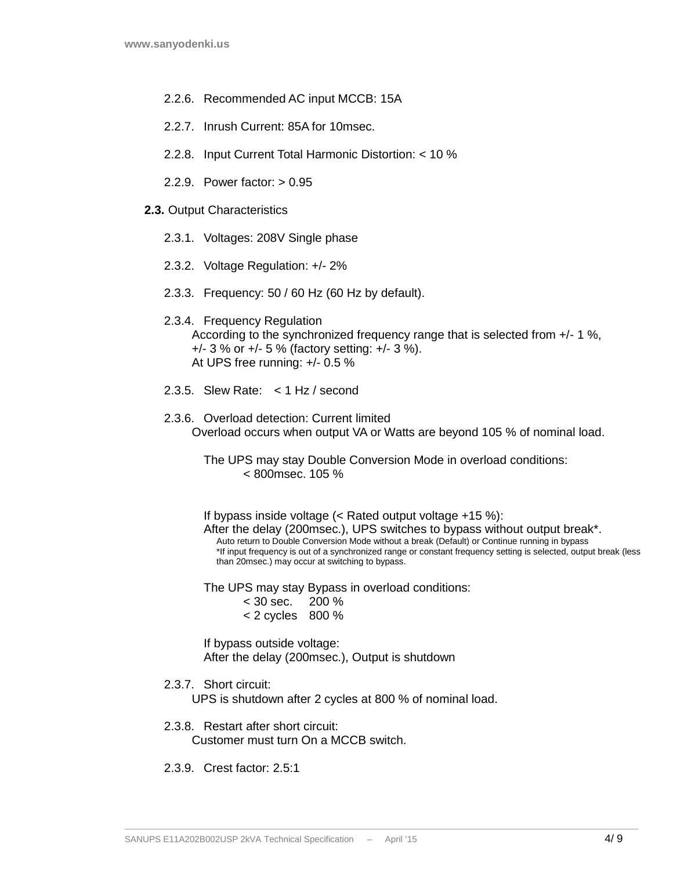- 2.2.6. Recommended AC input MCCB: 15A
- 2.2.7. Inrush Current: 85A for 10msec.
- 2.2.8. Input Current Total Harmonic Distortion: < 10 %
- 2.2.9. Power factor: > 0.95
- **2.3.** Output Characteristics
	- 2.3.1. Voltages: 208V Single phase
	- 2.3.2. Voltage Regulation: +/- 2%
	- 2.3.3. Frequency: 50 / 60 Hz (60 Hz by default).

#### 2.3.4. Frequency Regulation According to the synchronized frequency range that is selected from +/- 1 %, +/- 3 % or +/- 5 % (factory setting: +/- 3 %). At UPS free running: +/- 0.5 %

- 2.3.5. Slew Rate: < 1 Hz / second
- 2.3.6. Overload detection: Current limited Overload occurs when output VA or Watts are beyond 105 % of nominal load.

The UPS may stay Double Conversion Mode in overload conditions: < 800msec. 105 %

If bypass inside voltage (< Rated output voltage +15 %): After the delay (200msec.), UPS switches to bypass without output break\*. Auto return to Double Conversion Mode without a break (Default) or Continue running in bypass \*If input frequency is out of a synchronized range or constant frequency setting is selected, output break (less than 20msec.) may occur at switching to bypass.

The UPS may stay Bypass in overload conditions:

< 30 sec. 200 %  $< 2$  cycles  $800 \%$ 

If bypass outside voltage: After the delay (200msec.), Output is shutdown

2.3.7. Short circuit:

UPS is shutdown after 2 cycles at 800 % of nominal load.

#### 2.3.8. Restart after short circuit: Customer must turn On a MCCB switch.

2.3.9. Crest factor: 2.5:1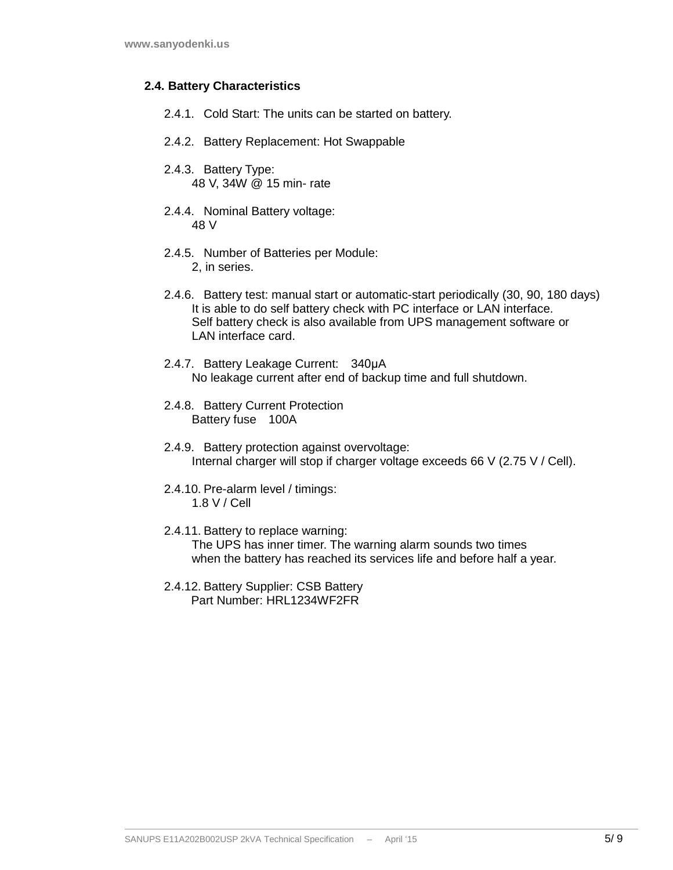#### **2.4. Battery Characteristics**

- 2.4.1. Cold Start: The units can be started on battery.
- 2.4.2. Battery Replacement: Hot Swappable
- 2.4.3. Battery Type: 48 V, 34W @ 15 min- rate
- 2.4.4. Nominal Battery voltage: 48 V
- 2.4.5. Number of Batteries per Module: 2, in series.
- 2.4.6. Battery test: manual start or automatic-start periodically (30, 90, 180 days) It is able to do self battery check with PC interface or LAN interface. Self battery check is also available from UPS management software or LAN interface card.
- 2.4.7. Battery Leakage Current: 340µA No leakage current after end of backup time and full shutdown.
- 2.4.8. Battery Current Protection Battery fuse 100A
- 2.4.9. Battery protection against overvoltage: Internal charger will stop if charger voltage exceeds 66 V (2.75 V / Cell).
- 2.4.10. Pre-alarm level / timings: 1.8 V / Cell
- 2.4.11. Battery to replace warning: The UPS has inner timer. The warning alarm sounds two times when the battery has reached its services life and before half a year.
- 2.4.12. Battery Supplier: CSB Battery Part Number: HRI 1234WF2FR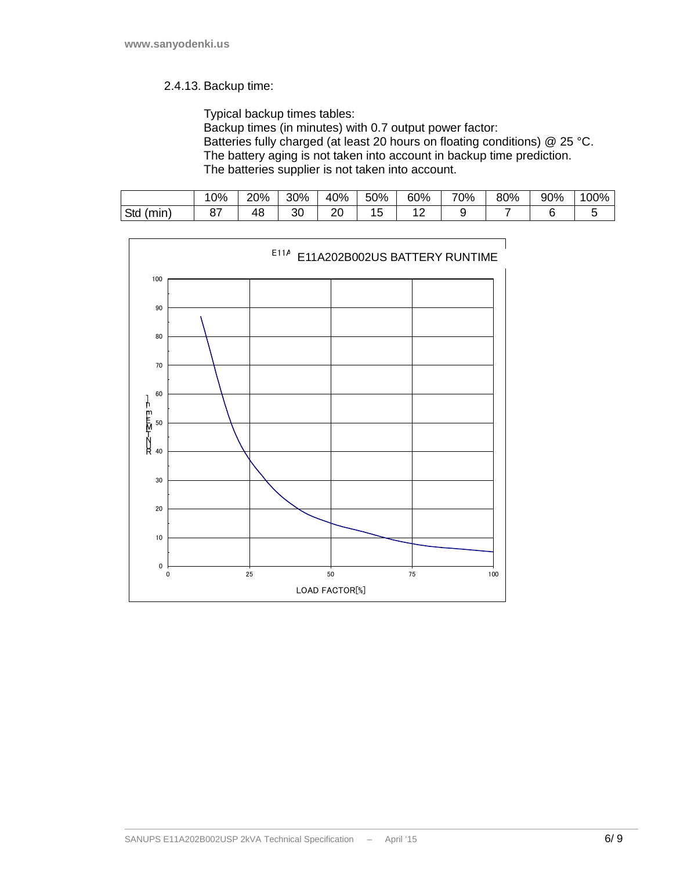#### 2.4.13. Backup time:

Typical backup times tables:

Backup times (in minutes) with 0.7 output power factor: Batteries fully charged (at least 20 hours on floating conditions) @ 25 °C. The battery aging is not taken into account in backup time prediction. The batteries supplier is not taken into account.

|              | 0%      | 20% | 30%     | 40%       | 50%            | 60%    | 70%    | 80% | 90% | 100% |
|--------------|---------|-----|---------|-----------|----------------|--------|--------|-----|-----|------|
| (min)<br>Std | ດ<br>οı | 48  | ົ<br>sı | n r<br>∠∪ | -<br>1 L<br>∪י | ∽<br>∼ | u<br>∼ |     |     |      |

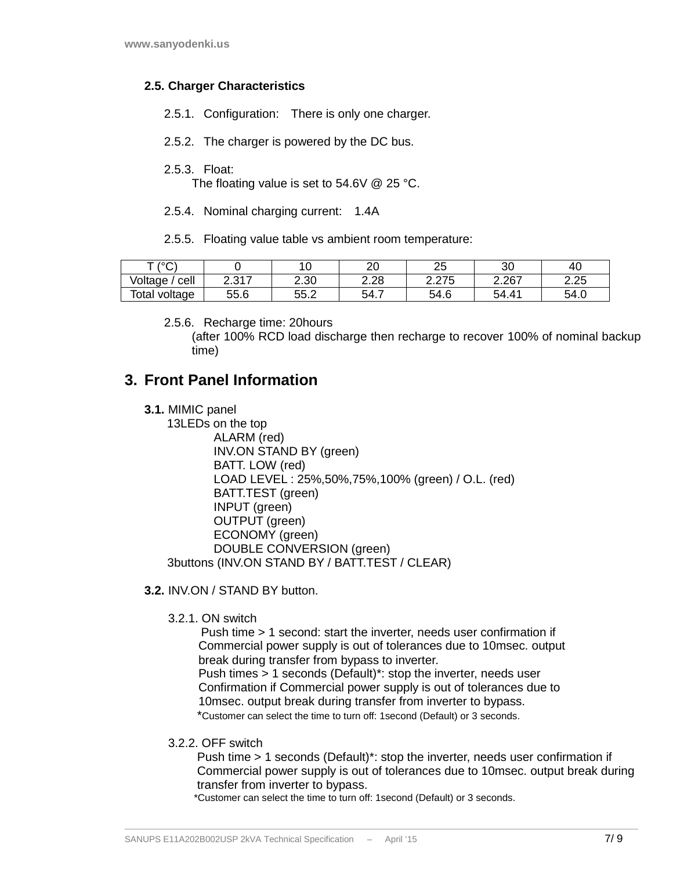#### **2.5. Charger Characteristics**

- 2.5.1. Configuration: There is only one charger.
- 2.5.2. The charger is powered by the DC bus.
- 2.5.3. Float:

The floating value is set to 54.6V @ 25 °C.

- 2.5.4. Nominal charging current: 1.4A
- 2.5.5. Floating value table vs ambient room temperature:

| T/2O             |                | $\overline{\phantom{a}}$<br>. v | ററ<br>∠∪ | $\sim$ $\sim$<br>້            | ດ<br>ა∪                        | 40   |
|------------------|----------------|---------------------------------|----------|-------------------------------|--------------------------------|------|
| cell<br>Voltage  | 0.017<br>، ، ب | 2.30                            | 2.28     | 27F<br>⌒<br>J<br><u>_ _</u> _ | ⌒<br>Z.ZU.                     | 2.25 |
| Total<br>voltage | 55.6           | 55.2                            | 54.7     | Q<br>54.6                     | 54<br>$\overline{\phantom{a}}$ | 54.0 |

2.5.6. Recharge time: 20hours

(after 100% RCD load discharge then recharge to recover 100% of nominal backup time)

## **3. Front Panel Information**

**3.1.** MIMIC panel

 13LEDs on the top ALARM (red) INV.ON STAND BY (green) BATT. LOW (red) LOAD LEVEL : 25%,50%,75%,100% (green) / O.L. (red) BATT.TEST (green) INPUT (green) OUTPUT (green) ECONOMY (green) DOUBLE CONVERSION (green) 3buttons (INV.ON STAND BY / BATT.TEST / CLEAR)

- **3.2.** INV.ON / STAND BY button.
	- 3.2.1. ON switch

 Push time > 1 second: start the inverter, needs user confirmation if Commercial power supply is out of tolerances due to 10msec. output break during transfer from bypass to inverter.

 Push times > 1 seconds (Default)\*: stop the inverter, needs user Confirmation if Commercial power supply is out of tolerances due to 10msec. output break during transfer from inverter to bypass.

\*Customer can select the time to turn off: 1second (Default) or 3 seconds.

3.2.2. OFF switch

 Push time > 1 seconds (Default)\*: stop the inverter, needs user confirmation if Commercial power supply is out of tolerances due to 10msec. output break during transfer from inverter to bypass.

\*Customer can select the time to turn off: 1second (Default) or 3 seconds.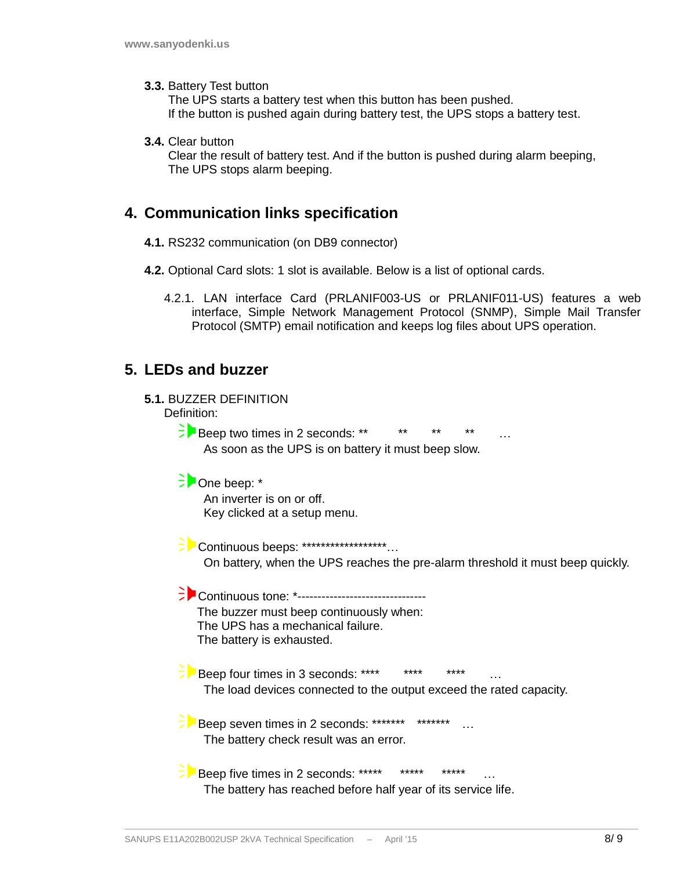**3.3.** Battery Test button

The UPS starts a battery test when this button has been pushed. If the button is pushed again during battery test, the UPS stops a battery test.

**3.4.** Clear button

Clear the result of battery test. And if the button is pushed during alarm beeping, The UPS stops alarm beeping.

### **4. Communication links specification**

- **4.1.** RS232 communication (on DB9 connector)
- **4.2.** Optional Card slots: 1 slot is available. Below is a list of optional cards.
	- 4.2.1. LAN interface Card (PRLANIF003-US or PRLANIF011-US) features a web interface, Simple Network Management Protocol (SNMP), Simple Mail Transfer Protocol (SMTP) email notification and keeps log files about UPS operation.

### **5. LEDs and buzzer**